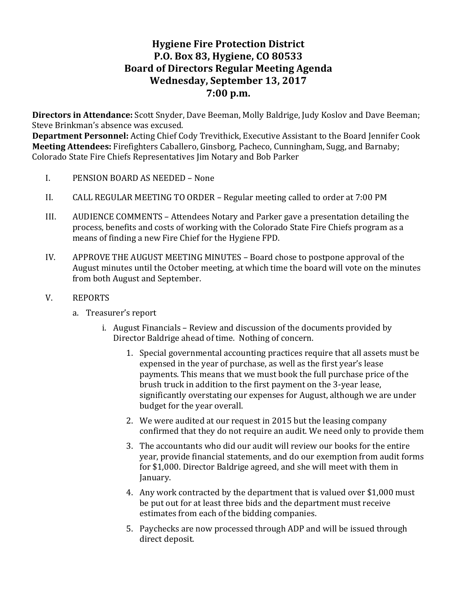# **Hygiene Fire Protection District P.O. Box 83, Hygiene, CO 80533 Board of Directors Regular Meeting Agenda** Wednesday, September 13, 2017 **7:00 p.m.**

**Directors in Attendance:** Scott Snyder, Dave Beeman, Molly Baldrige, Judy Koslov and Dave Beeman; Steve Brinkman's absence was excused.

**Department Personnel:** Acting Chief Cody Trevithick, Executive Assistant to the Board Jennifer Cook **Meeting Attendees:** Firefighters Caballero, Ginsborg, Pacheco, Cunningham, Sugg, and Barnaby; Colorado State Fire Chiefs Representatives Jim Notary and Bob Parker

- I. PENSION BOARD AS NEEDED None
- II. CALL REGULAR MEETING TO ORDER Regular meeting called to order at 7:00 PM
- III. AUDIENCE COMMENTS Attendees Notary and Parker gave a presentation detailing the process, benefits and costs of working with the Colorado State Fire Chiefs program as a means of finding a new Fire Chief for the Hygiene FPD.
- IV. APPROVE THE AUGUST MEETING MINUTES Board chose to postpone approval of the August minutes until the October meeting, at which time the board will vote on the minutes from both August and September.
- V. REPORTS
	- a. Treasurer's report
		- i. August Financials Review and discussion of the documents provided by Director Baldrige ahead of time. Nothing of concern.
			- 1. Special governmental accounting practices require that all assets must be expensed in the year of purchase, as well as the first year's lease payments. This means that we must book the full purchase price of the brush truck in addition to the first payment on the 3-year lease, significantly overstating our expenses for August, although we are under budget for the year overall.
			- 2. We were audited at our request in 2015 but the leasing company confirmed that they do not require an audit. We need only to provide them
			- 3. The accountants who did our audit will review our books for the entire year, provide financial statements, and do our exemption from audit forms for \$1,000. Director Baldrige agreed, and she will meet with them in January.
			- 4. Any work contracted by the department that is valued over \$1,000 must be put out for at least three bids and the department must receive estimates from each of the bidding companies.
			- 5. Paychecks are now processed through ADP and will be issued through direct deposit.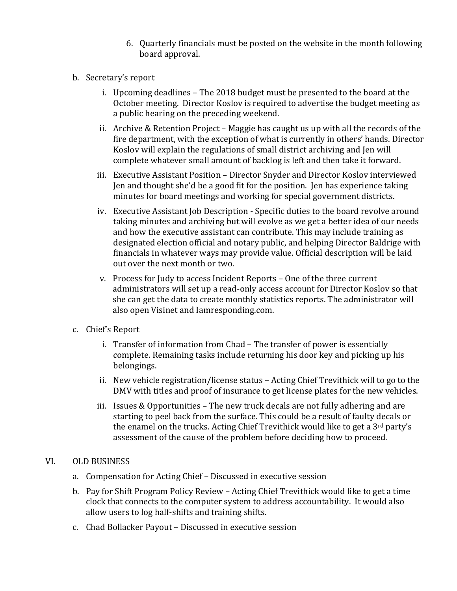- 6. Quarterly financials must be posted on the website in the month following board approval.
- b. Secretary's report
	- i. Upcoming deadlines The 2018 budget must be presented to the board at the October meeting. Director Koslov is required to advertise the budget meeting as a public hearing on the preceding weekend.
	- ii. Archive & Retention Project Maggie has caught us up with all the records of the fire department, with the exception of what is currently in others' hands. Director Koslov will explain the regulations of small district archiving and Jen will complete whatever small amount of backlog is left and then take it forward.
	- iii. Executive Assistant Position Director Snyder and Director Koslov interviewed Jen and thought she'd be a good fit for the position. Jen has experience taking minutes for board meetings and working for special government districts.
	- iv. Executive Assistant Job Description Specific duties to the board revolve around taking minutes and archiving but will evolve as we get a better idea of our needs and how the executive assistant can contribute. This may include training as designated election official and notary public, and helping Director Baldrige with financials in whatever ways may provide value. Official description will be laid out over the next month or two.
	- v. Process for Judy to access Incident Reports One of the three current administrators will set up a read-only access account for Director Koslov so that she can get the data to create monthly statistics reports. The administrator will also open Visinet and Iamresponding.com.
- c. Chief's Report
	- i. Transfer of information from Chad The transfer of power is essentially complete. Remaining tasks include returning his door key and picking up his belongings.
	- ii. New vehicle registration/license status Acting Chief Trevithick will to go to the DMV with titles and proof of insurance to get license plates for the new vehicles.
	- iii. Issues & Opportunities  $-$  The new truck decals are not fully adhering and are starting to peel back from the surface. This could be a result of faulty decals or the enamel on the trucks. Acting Chief Trevithick would like to get a  $3<sup>rd</sup>$  party's assessment of the cause of the problem before deciding how to proceed.

# VI. OLD BUSINESS

- a. Compensation for Acting Chief Discussed in executive session
- b. Pay for Shift Program Policy Review Acting Chief Trevithick would like to get a time clock that connects to the computer system to address accountability. It would also allow users to log half-shifts and training shifts.
- c. Chad Bollacker Payout Discussed in executive session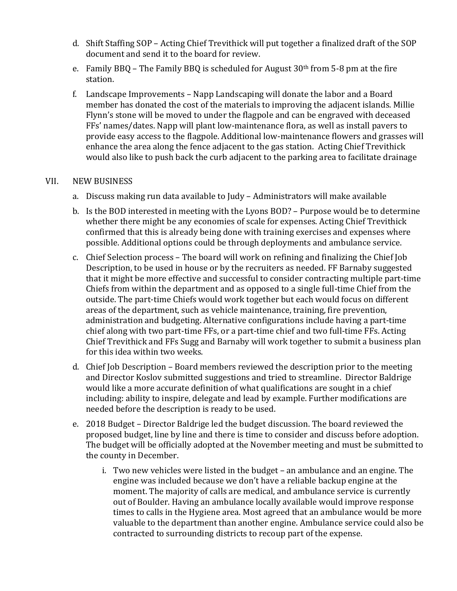- d. Shift Staffing SOP Acting Chief Trevithick will put together a finalized draft of the SOP document and send it to the board for review.
- e. Family BBQ The Family BBQ is scheduled for August  $30<sup>th</sup>$  from 5-8 pm at the fire station.
- f. Landscape Improvements Napp Landscaping will donate the labor and a Board member has donated the cost of the materials to improving the adjacent islands. Millie Flynn's stone will be moved to under the flagpole and can be engraved with deceased FFs' names/dates. Napp will plant low-maintenance flora, as well as install pavers to provide easy access to the flagpole. Additional low-maintenance flowers and grasses will enhance the area along the fence adjacent to the gas station. Acting Chief Trevithick would also like to push back the curb adjacent to the parking area to facilitate drainage

# VII. NEW BUSINESS

- a. Discuss making run data available to Judy Administrators will make available
- b. Is the BOD interested in meeting with the Lyons BOD? Purpose would be to determine whether there might be any economies of scale for expenses. Acting Chief Trevithick confirmed that this is already being done with training exercises and expenses where possible. Additional options could be through deployments and ambulance service.
- c. Chief Selection process The board will work on refining and finalizing the Chief Job Description, to be used in house or by the recruiters as needed. FF Barnaby suggested that it might be more effective and successful to consider contracting multiple part-time Chiefs from within the department and as opposed to a single full-time Chief from the outside. The part-time Chiefs would work together but each would focus on different areas of the department, such as vehicle maintenance, training, fire prevention, administration and budgeting. Alternative configurations include having a part-time chief along with two part-time FFs, or a part-time chief and two full-time FFs. Acting Chief Trevithick and FFs Sugg and Barnaby will work together to submit a business plan for this idea within two weeks.
- d. Chief Job Description Board members reviewed the description prior to the meeting and Director Koslov submitted suggestions and tried to streamline. Director Baldrige would like a more accurate definition of what qualifications are sought in a chief including: ability to inspire, delegate and lead by example. Further modifications are needed before the description is ready to be used.
- e. 2018 Budget Director Baldrige led the budget discussion. The board reviewed the proposed budget, line by line and there is time to consider and discuss before adoption. The budget will be officially adopted at the November meeting and must be submitted to the county in December.
	- i. Two new vehicles were listed in the budget  $-$  an ambulance and an engine. The engine was included because we don't have a reliable backup engine at the moment. The majority of calls are medical, and ambulance service is currently out of Boulder. Having an ambulance locally available would improve response times to calls in the Hygiene area. Most agreed that an ambulance would be more valuable to the department than another engine. Ambulance service could also be contracted to surrounding districts to recoup part of the expense.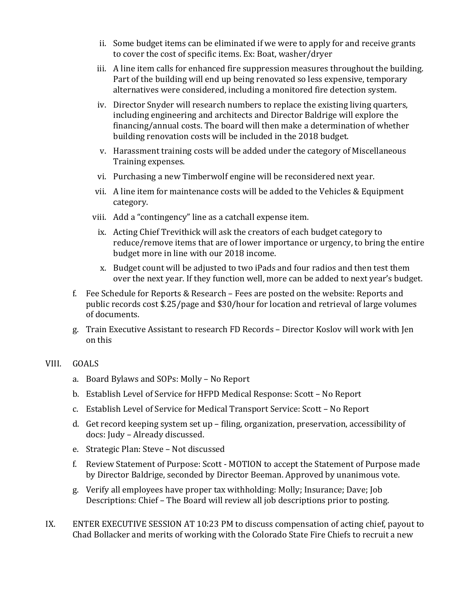- ii. Some budget items can be eliminated if we were to apply for and receive grants to cover the cost of specific items. Ex: Boat, washer/dryer
- iii. A line item calls for enhanced fire suppression measures throughout the building. Part of the building will end up being renovated so less expensive, temporary alternatives were considered, including a monitored fire detection system.
- iv. Director Snyder will research numbers to replace the existing living quarters, including engineering and architects and Director Baldrige will explore the financing/annual costs. The board will then make a determination of whether building renovation costs will be included in the 2018 budget.
- v. Harassment training costs will be added under the category of Miscellaneous Training expenses.
- vi. Purchasing a new Timberwolf engine will be reconsidered next year.
- vii. A line item for maintenance costs will be added to the Vehicles & Equipment category.
- viii. Add a "contingency" line as a catchall expense item.
	- ix. Acting Chief Trevithick will ask the creators of each budget category to reduce/remove items that are of lower importance or urgency, to bring the entire budget more in line with our 2018 income.
	- x. Budget count will be adjusted to two iPads and four radios and then test them over the next year. If they function well, more can be added to next year's budget.
- f. Fee Schedule for Reports & Research Fees are posted on the website: Reports and public records cost \$.25/page and \$30/hour for location and retrieval of large volumes of documents.
- g. Train Executive Assistant to research FD Records Director Koslov will work with Jen on this

# VIII. GOALS

- a. Board Bylaws and SOPs: Molly No Report
- b. Establish Level of Service for HFPD Medical Response: Scott No Report
- c. Establish Level of Service for Medical Transport Service: Scott No Report
- d. Get record keeping system set up filing, organization, preservation, accessibility of docs: Judy - Already discussed.
- e. Strategic Plan: Steve Not discussed
- f. Review Statement of Purpose: Scott MOTION to accept the Statement of Purpose made by Director Baldrige, seconded by Director Beeman. Approved by unanimous vote.
- g. Verify all employees have proper tax withholding: Molly; Insurance; Dave; Job Descriptions: Chief – The Board will review all job descriptions prior to posting.
- IX. ENTER EXECUTIVE SESSION AT 10:23 PM to discuss compensation of acting chief, payout to Chad Bollacker and merits of working with the Colorado State Fire Chiefs to recruit a new